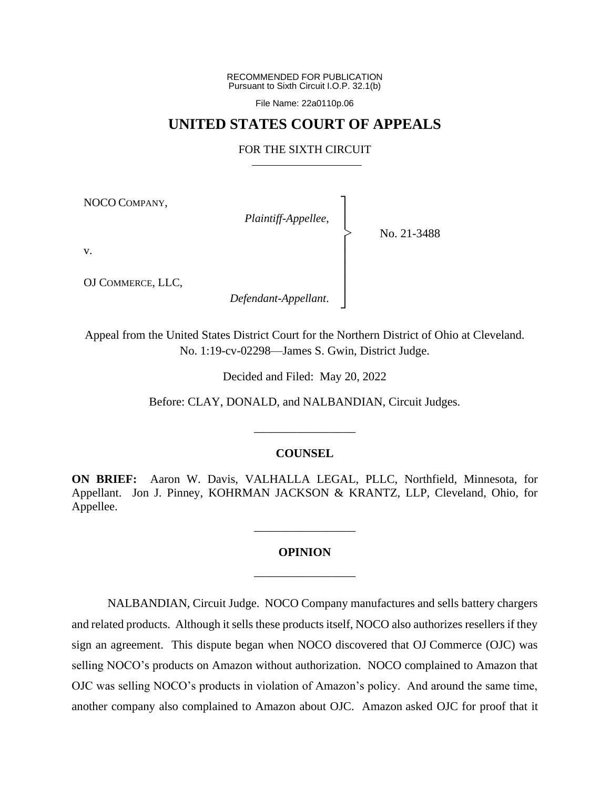RECOMMENDED FOR PUBLICATION Pursuant to Sixth Circuit I.O.P. 32.1(b)

File Name: 22a0110p.06

## **UNITED STATES COURT OF APPEALS**

### FOR THE SIXTH CIRCUIT

┐ │ │ │ │ │ │ │ ┘

|<br>|<br>|

NOCO COMPANY,

*Plaintiff-Appellee*,

No. 21-3488

v.

OJ COMMERCE, LLC,

*Defendant-Appellant*.

Appeal from the United States District Court for the Northern District of Ohio at Cleveland. No. 1:19-cv-02298—James S. Gwin, District Judge.

Decided and Filed: May 20, 2022

Before: CLAY, DONALD, and NALBANDIAN, Circuit Judges.

## **COUNSEL**

\_\_\_\_\_\_\_\_\_\_\_\_\_\_\_\_\_

**ON BRIEF:** Aaron W. Davis, VALHALLA LEGAL, PLLC, Northfield, Minnesota, for Appellant. Jon J. Pinney, KOHRMAN JACKSON & KRANTZ, LLP, Cleveland, Ohio, for Appellee.

# **OPINION** \_\_\_\_\_\_\_\_\_\_\_\_\_\_\_\_\_

\_\_\_\_\_\_\_\_\_\_\_\_\_\_\_\_\_

NALBANDIAN, Circuit Judge.NOCO Company manufactures and sells battery chargers and related products. Although it sells these products itself, NOCO also authorizes resellers if they sign an agreement. This dispute began when NOCO discovered that OJ Commerce (OJC) was selling NOCO's products on Amazon without authorization. NOCO complained to Amazon that OJC was selling NOCO's products in violation of Amazon's policy. And around the same time, another company also complained to Amazon about OJC. Amazon asked OJC for proof that it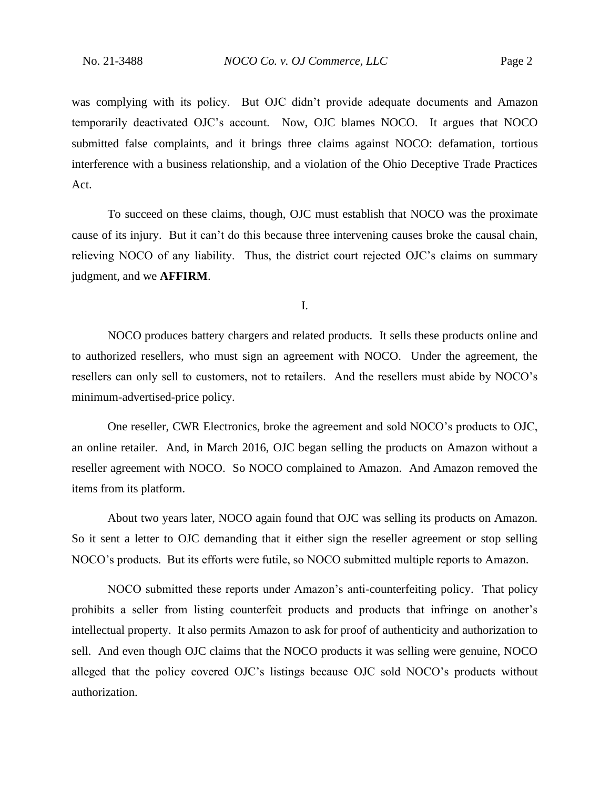was complying with its policy. But OJC didn't provide adequate documents and Amazon temporarily deactivated OJC's account. Now, OJC blames NOCO. It argues that NOCO submitted false complaints, and it brings three claims against NOCO: defamation, tortious interference with a business relationship, and a violation of the Ohio Deceptive Trade Practices Act.

To succeed on these claims, though, OJC must establish that NOCO was the proximate cause of its injury. But it can't do this because three intervening causes broke the causal chain, relieving NOCO of any liability. Thus, the district court rejected OJC's claims on summary judgment, and we **AFFIRM**.

I.

NOCO produces battery chargers and related products. It sells these products online and to authorized resellers, who must sign an agreement with NOCO. Under the agreement, the resellers can only sell to customers, not to retailers. And the resellers must abide by NOCO's minimum-advertised-price policy.

One reseller, CWR Electronics, broke the agreement and sold NOCO's products to OJC, an online retailer. And, in March 2016, OJC began selling the products on Amazon without a reseller agreement with NOCO. So NOCO complained to Amazon. And Amazon removed the items from its platform.

About two years later, NOCO again found that OJC was selling its products on Amazon. So it sent a letter to OJC demanding that it either sign the reseller agreement or stop selling NOCO's products. But its efforts were futile, so NOCO submitted multiple reports to Amazon.

NOCO submitted these reports under Amazon's anti-counterfeiting policy. That policy prohibits a seller from listing counterfeit products and products that infringe on another's intellectual property. It also permits Amazon to ask for proof of authenticity and authorization to sell. And even though OJC claims that the NOCO products it was selling were genuine, NOCO alleged that the policy covered OJC's listings because OJC sold NOCO's products without authorization.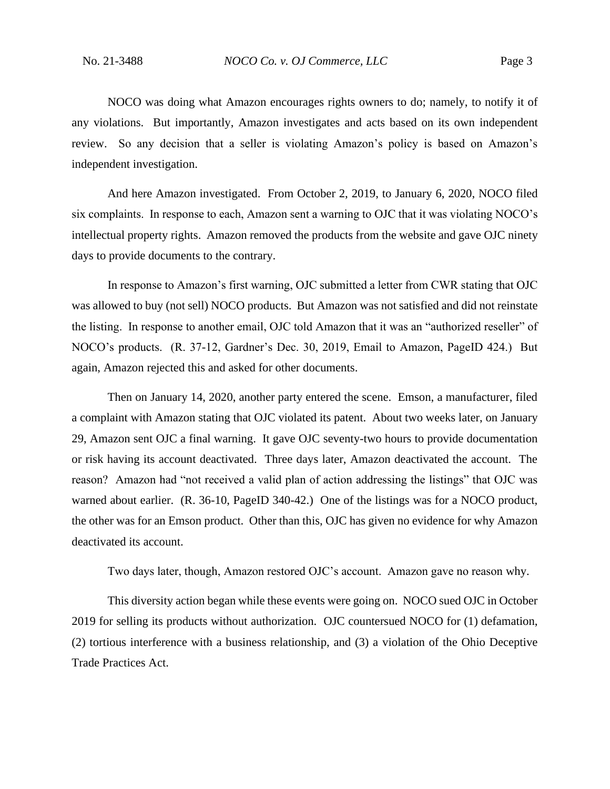NOCO was doing what Amazon encourages rights owners to do; namely, to notify it of any violations. But importantly, Amazon investigates and acts based on its own independent review. So any decision that a seller is violating Amazon's policy is based on Amazon's independent investigation.

And here Amazon investigated. From October 2, 2019, to January 6, 2020, NOCO filed six complaints. In response to each, Amazon sent a warning to OJC that it was violating NOCO's intellectual property rights. Amazon removed the products from the website and gave OJC ninety days to provide documents to the contrary.

In response to Amazon's first warning, OJC submitted a letter from CWR stating that OJC was allowed to buy (not sell) NOCO products. But Amazon was not satisfied and did not reinstate the listing. In response to another email, OJC told Amazon that it was an "authorized reseller" of NOCO's products. (R. 37-12, Gardner's Dec. 30, 2019, Email to Amazon, PageID 424.) But again, Amazon rejected this and asked for other documents.

Then on January 14, 2020, another party entered the scene. Emson, a manufacturer, filed a complaint with Amazon stating that OJC violated its patent. About two weeks later, on January 29, Amazon sent OJC a final warning. It gave OJC seventy-two hours to provide documentation or risk having its account deactivated. Three days later, Amazon deactivated the account. The reason? Amazon had "not received a valid plan of action addressing the listings" that OJC was warned about earlier. (R. 36-10, PageID 340-42.) One of the listings was for a NOCO product, the other was for an Emson product. Other than this, OJC has given no evidence for why Amazon deactivated its account.

Two days later, though, Amazon restored OJC's account. Amazon gave no reason why.

This diversity action began while these events were going on. NOCO sued OJC in October 2019 for selling its products without authorization. OJC countersued NOCO for (1) defamation, (2) tortious interference with a business relationship, and (3) a violation of the Ohio Deceptive Trade Practices Act.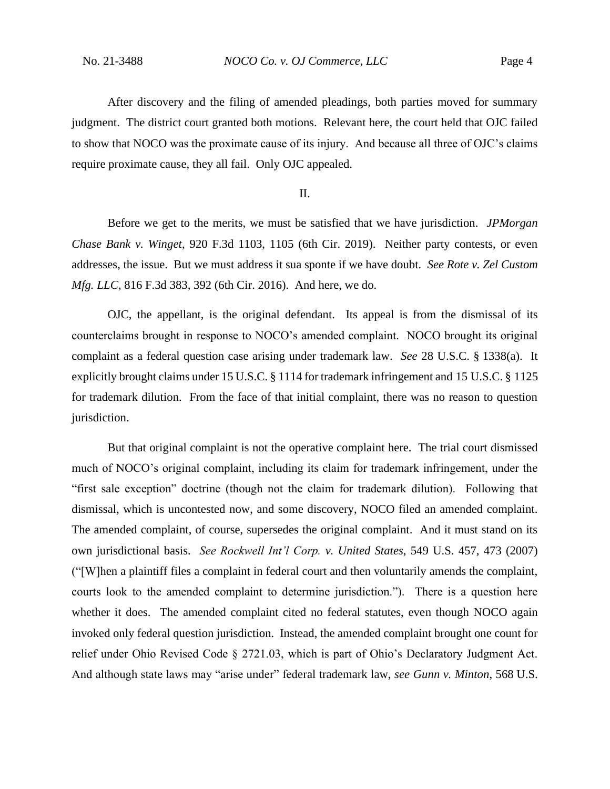After discovery and the filing of amended pleadings, both parties moved for summary judgment. The district court granted both motions. Relevant here, the court held that OJC failed to show that NOCO was the proximate cause of its injury. And because all three of OJC's claims require proximate cause, they all fail. Only OJC appealed.

II.

Before we get to the merits, we must be satisfied that we have jurisdiction. *JPMorgan Chase Bank v. Winget*, 920 F.3d 1103, 1105 (6th Cir. 2019). Neither party contests, or even addresses, the issue. But we must address it sua sponte if we have doubt. *See Rote v. Zel Custom Mfg. LLC*, 816 F.3d 383, 392 (6th Cir. 2016). And here, we do.

OJC, the appellant, is the original defendant. Its appeal is from the dismissal of its counterclaims brought in response to NOCO's amended complaint. NOCO brought its original complaint as a federal question case arising under trademark law. *See* 28 U.S.C. § 1338(a). It explicitly brought claims under 15 U.S.C. § 1114 for trademark infringement and 15 U.S.C. § 1125 for trademark dilution. From the face of that initial complaint, there was no reason to question jurisdiction.

But that original complaint is not the operative complaint here. The trial court dismissed much of NOCO's original complaint, including its claim for trademark infringement, under the "first sale exception" doctrine (though not the claim for trademark dilution). Following that dismissal, which is uncontested now, and some discovery, NOCO filed an amended complaint. The amended complaint, of course, supersedes the original complaint. And it must stand on its own jurisdictional basis. *See Rockwell Int'l Corp. v. United States*, 549 U.S. 457, 473 (2007) ("[W]hen a plaintiff files a complaint in federal court and then voluntarily amends the complaint, courts look to the amended complaint to determine jurisdiction."). There is a question here whether it does. The amended complaint cited no federal statutes, even though NOCO again invoked only federal question jurisdiction. Instead, the amended complaint brought one count for relief under Ohio Revised Code § 2721.03, which is part of Ohio's Declaratory Judgment Act. And although state laws may "arise under" federal trademark law, *see Gunn v. Minton*, 568 U.S.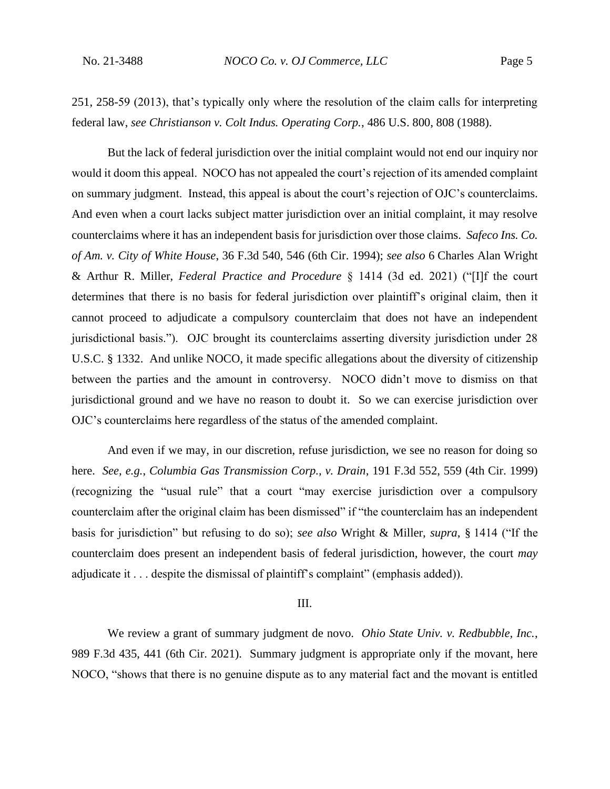251, 258-59 (2013), that's typically only where the resolution of the claim calls for interpreting federal law, *see Christianson v. Colt Indus. Operating Corp.*, 486 U.S. 800, 808 (1988).

But the lack of federal jurisdiction over the initial complaint would not end our inquiry nor would it doom this appeal. NOCO has not appealed the court's rejection of its amended complaint on summary judgment. Instead, this appeal is about the court's rejection of OJC's counterclaims. And even when a court lacks subject matter jurisdiction over an initial complaint, it may resolve counterclaims where it has an independent basis for jurisdiction over those claims. *Safeco Ins. Co. of Am. v. City of White House*, 36 F.3d 540, 546 (6th Cir. 1994); *see also* 6 Charles Alan Wright & Arthur R. Miller, *Federal Practice and Procedure* § 1414 (3d ed. 2021) ("[I]f the court determines that there is no basis for federal jurisdiction over plaintiff's original claim, then it cannot proceed to adjudicate a compulsory counterclaim that does not have an independent jurisdictional basis."). OJC brought its counterclaims asserting diversity jurisdiction under 28 U.S.C. § 1332. And unlike NOCO, it made specific allegations about the diversity of citizenship between the parties and the amount in controversy. NOCO didn't move to dismiss on that jurisdictional ground and we have no reason to doubt it. So we can exercise jurisdiction over OJC's counterclaims here regardless of the status of the amended complaint.

And even if we may, in our discretion, refuse jurisdiction, we see no reason for doing so here. *See, e.g.*, *Columbia Gas Transmission Corp., v. Drain*, 191 F.3d 552, 559 (4th Cir. 1999) (recognizing the "usual rule" that a court "may exercise jurisdiction over a compulsory counterclaim after the original claim has been dismissed" if "the counterclaim has an independent basis for jurisdiction" but refusing to do so); *see also* Wright & Miller, *supra*, § 1414 ("If the counterclaim does present an independent basis of federal jurisdiction, however, the court *may* adjudicate it . . . despite the dismissal of plaintiff's complaint" (emphasis added)).

### III.

We review a grant of summary judgment de novo. *Ohio State Univ. v. Redbubble, Inc.*, 989 F.3d 435, 441 (6th Cir. 2021). Summary judgment is appropriate only if the movant, here NOCO, "shows that there is no genuine dispute as to any material fact and the movant is entitled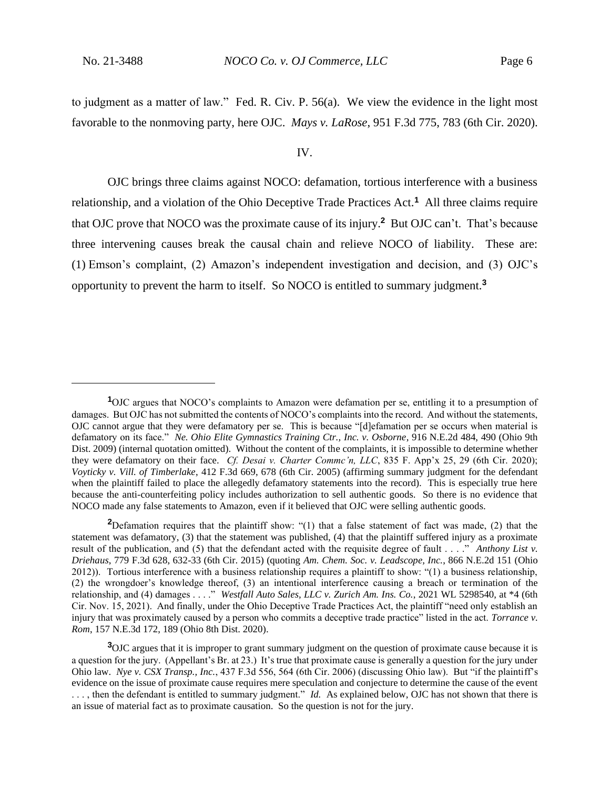to judgment as a matter of law." Fed. R. Civ. P. 56(a). We view the evidence in the light most favorable to the nonmoving party, here OJC. *Mays v. LaRose*, 951 F.3d 775, 783 (6th Cir. 2020).

#### IV.

OJC brings three claims against NOCO: defamation, tortious interference with a business relationship, and a violation of the Ohio Deceptive Trade Practices Act.**<sup>1</sup>** All three claims require that OJC prove that NOCO was the proximate cause of its injury.**<sup>2</sup>** But OJC can't. That's because three intervening causes break the causal chain and relieve NOCO of liability. These are: (1) Emson's complaint, (2) Amazon's independent investigation and decision, and (3) OJC's opportunity to prevent the harm to itself. So NOCO is entitled to summary judgment.**<sup>3</sup>**

**<sup>1</sup>**OJC argues that NOCO's complaints to Amazon were defamation per se, entitling it to a presumption of damages. But OJC has not submitted the contents of NOCO's complaints into the record. And without the statements, OJC cannot argue that they were defamatory per se. This is because "[d]efamation per se occurs when material is defamatory on its face." *Ne. Ohio Elite Gymnastics Training Ctr., Inc. v. Osborne*, 916 N.E.2d 484, 490 (Ohio 9th Dist. 2009) (internal quotation omitted). Without the content of the complaints, it is impossible to determine whether they were defamatory on their face. *Cf. Desai v. Charter Commc'n, LLC*, 835 F. App'x 25, 29 (6th Cir. 2020); *Voyticky v. Vill. of Timberlake*, 412 F.3d 669, 678 (6th Cir. 2005) (affirming summary judgment for the defendant when the plaintiff failed to place the allegedly defamatory statements into the record). This is especially true here because the anti-counterfeiting policy includes authorization to sell authentic goods. So there is no evidence that NOCO made any false statements to Amazon, even if it believed that OJC were selling authentic goods.

**<sup>2</sup>**Defamation requires that the plaintiff show: "(1) that a false statement of fact was made, (2) that the statement was defamatory, (3) that the statement was published, (4) that the plaintiff suffered injury as a proximate result of the publication, and (5) that the defendant acted with the requisite degree of fault . . . ." *Anthony List v. Driehaus*, 779 F.3d 628, 632-33 (6th Cir. 2015) (quoting *Am. Chem. Soc. v. Leadscope, Inc.*, 866 N.E.2d 151 (Ohio 2012)). Tortious interference with a business relationship requires a plaintiff to show: "(1) a business relationship, (2) the wrongdoer's knowledge thereof, (3) an intentional interference causing a breach or termination of the relationship, and (4) damages . . . ." *Westfall Auto Sales, LLC v. Zurich Am. Ins. Co.*, 2021 WL 5298540, at \*4 (6th Cir. Nov. 15, 2021). And finally, under the Ohio Deceptive Trade Practices Act, the plaintiff "need only establish an injury that was proximately caused by a person who commits a deceptive trade practice" listed in the act. *Torrance v. Rom*, 157 N.E.3d 172, 189 (Ohio 8th Dist. 2020).

**<sup>3</sup>**OJC argues that it is improper to grant summary judgment on the question of proximate cause because it is a question for the jury. (Appellant's Br. at 23.) It's true that proximate cause is generally a question for the jury under Ohio law. *Nye v. CSX Transp., Inc.*, 437 F.3d 556, 564 (6th Cir. 2006) (discussing Ohio law). But "if the plaintiff's evidence on the issue of proximate cause requires mere speculation and conjecture to determine the cause of the event . . . , then the defendant is entitled to summary judgment." *Id.* As explained below, OJC has not shown that there is an issue of material fact as to proximate causation. So the question is not for the jury.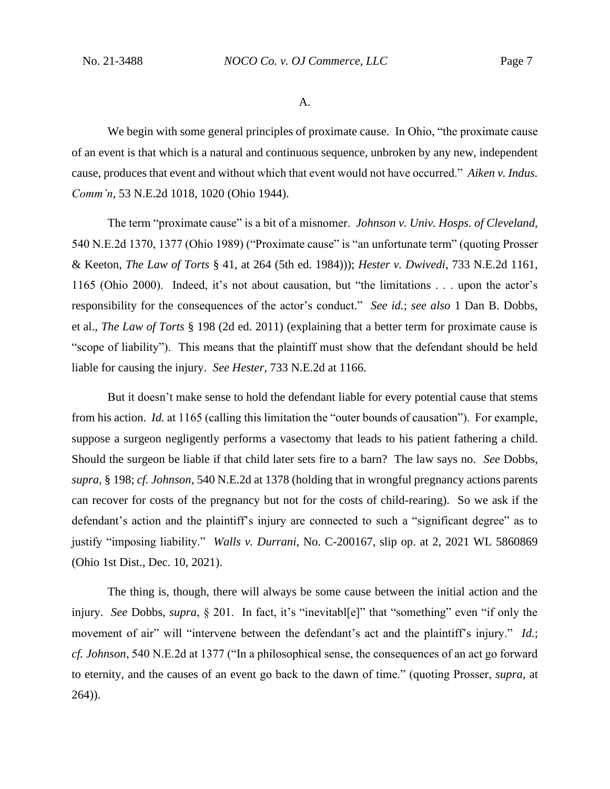A.

We begin with some general principles of proximate cause. In Ohio, "the proximate cause of an event is that which is a natural and continuous sequence, unbroken by any new, independent cause, produces that event and without which that event would not have occurred." *Aiken v. Indus. Comm'n*, 53 N.E.2d 1018, 1020 (Ohio 1944).

The term "proximate cause" is a bit of a misnomer. *Johnson v. Univ. Hosps. of Cleveland*, 540 N.E.2d 1370, 1377 (Ohio 1989) ("Proximate cause" is "an unfortunate term" (quoting Prosser & Keeton, *The Law of Torts* § 41, at 264 (5th ed. 1984))); *Hester v. Dwivedi*, 733 N.E.2d 1161, 1165 (Ohio 2000). Indeed, it's not about causation, but "the limitations . . . upon the actor's responsibility for the consequences of the actor's conduct." *See id.*; *see also* 1 Dan B. Dobbs, et al., *The Law of Torts* § 198 (2d ed. 2011) (explaining that a better term for proximate cause is "scope of liability"). This means that the plaintiff must show that the defendant should be held liable for causing the injury. *See Hester*, 733 N.E.2d at 1166.

But it doesn't make sense to hold the defendant liable for every potential cause that stems from his action. *Id.* at 1165 (calling this limitation the "outer bounds of causation"). For example, suppose a surgeon negligently performs a vasectomy that leads to his patient fathering a child. Should the surgeon be liable if that child later sets fire to a barn? The law says no. *See* Dobbs, *supra*, § 198; *cf. Johnson*, 540 N.E.2d at 1378 (holding that in wrongful pregnancy actions parents can recover for costs of the pregnancy but not for the costs of child-rearing). So we ask if the defendant's action and the plaintiff's injury are connected to such a "significant degree" as to justify "imposing liability." *Walls v. Durrani*, No. C-200167, slip op. at 2, 2021 WL 5860869 (Ohio 1st Dist., Dec. 10, 2021).

The thing is, though, there will always be some cause between the initial action and the injury. *See* Dobbs, *supra*, § 201. In fact, it's "inevitabl[e]" that "something" even "if only the movement of air" will "intervene between the defendant's act and the plaintiff's injury." *Id.*; *cf. Johnson*, 540 N.E.2d at 1377 ("In a philosophical sense, the consequences of an act go forward to eternity, and the causes of an event go back to the dawn of time." (quoting Prosser, *supra*, at 264)).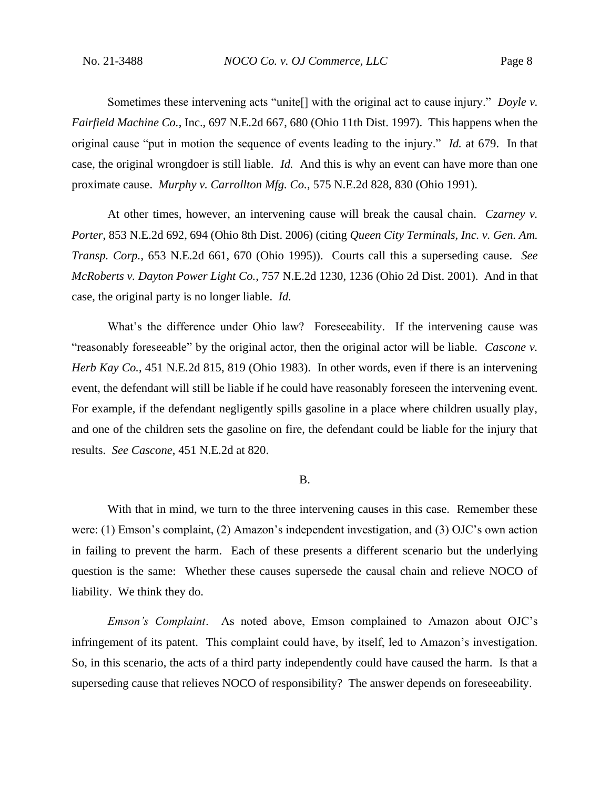Sometimes these intervening acts "unite[] with the original act to cause injury." *Doyle v. Fairfield Machine Co.*, Inc., 697 N.E.2d 667, 680 (Ohio 11th Dist. 1997). This happens when the original cause "put in motion the sequence of events leading to the injury." *Id.* at 679. In that case, the original wrongdoer is still liable. *Id.* And this is why an event can have more than one proximate cause. *Murphy v. Carrollton Mfg. Co.*, 575 N.E.2d 828, 830 (Ohio 1991).

At other times, however, an intervening cause will break the causal chain. *Czarney v. Porter*, 853 N.E.2d 692, 694 (Ohio 8th Dist. 2006) (citing *Queen City Terminals, Inc. v. Gen. Am. Transp. Corp.*, 653 N.E.2d 661, 670 (Ohio 1995)). Courts call this a superseding cause. *See McRoberts v. Dayton Power Light Co.*, 757 N.E.2d 1230, 1236 (Ohio 2d Dist. 2001). And in that case, the original party is no longer liable. *Id.*

What's the difference under Ohio law? Foreseeability. If the intervening cause was "reasonably foreseeable" by the original actor, then the original actor will be liable. *Cascone v. Herb Kay Co.*, 451 N.E.2d 815, 819 (Ohio 1983). In other words, even if there is an intervening event, the defendant will still be liable if he could have reasonably foreseen the intervening event. For example, if the defendant negligently spills gasoline in a place where children usually play, and one of the children sets the gasoline on fire, the defendant could be liable for the injury that results. *See Cascone*, 451 N.E.2d at 820.

### B.

With that in mind, we turn to the three intervening causes in this case. Remember these were: (1) Emson's complaint, (2) Amazon's independent investigation, and (3) OJC's own action in failing to prevent the harm. Each of these presents a different scenario but the underlying question is the same: Whether these causes supersede the causal chain and relieve NOCO of liability. We think they do.

*Emson's Complaint*. As noted above, Emson complained to Amazon about OJC's infringement of its patent. This complaint could have, by itself, led to Amazon's investigation. So, in this scenario, the acts of a third party independently could have caused the harm. Is that a superseding cause that relieves NOCO of responsibility? The answer depends on foreseeability.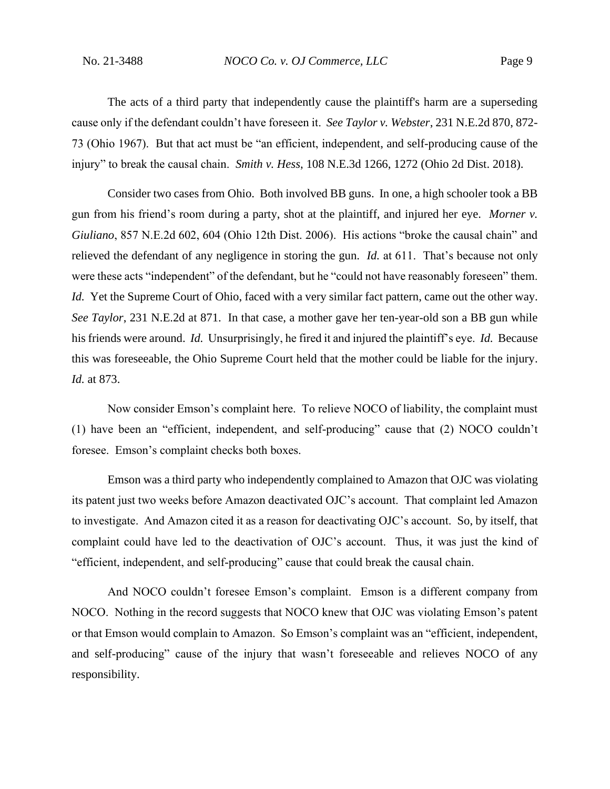The acts of a third party that independently cause the plaintiff's harm are a superseding cause only if the defendant couldn't have foreseen it. *See Taylor v. Webster*, 231 N.E.2d 870, 872- 73 (Ohio 1967). But that act must be "an efficient, independent, and self-producing cause of the injury" to break the causal chain. *Smith v. Hess*, 108 N.E.3d 1266, 1272 (Ohio 2d Dist. 2018).

Consider two cases from Ohio. Both involved BB guns. In one, a high schooler took a BB gun from his friend's room during a party, shot at the plaintiff, and injured her eye. *Morner v. Giuliano*, 857 N.E.2d 602, 604 (Ohio 12th Dist. 2006). His actions "broke the causal chain" and relieved the defendant of any negligence in storing the gun. *Id.* at 611. That's because not only were these acts "independent" of the defendant, but he "could not have reasonably foreseen" them. *Id.* Yet the Supreme Court of Ohio, faced with a very similar fact pattern, came out the other way. *See Taylor*, 231 N.E.2d at 871. In that case, a mother gave her ten-year-old son a BB gun while his friends were around. *Id.* Unsurprisingly, he fired it and injured the plaintiff's eye. *Id.* Because this was foreseeable, the Ohio Supreme Court held that the mother could be liable for the injury. *Id.* at 873.

Now consider Emson's complaint here. To relieve NOCO of liability, the complaint must (1) have been an "efficient, independent, and self-producing" cause that (2) NOCO couldn't foresee. Emson's complaint checks both boxes.

Emson was a third party who independently complained to Amazon that OJC was violating its patent just two weeks before Amazon deactivated OJC's account. That complaint led Amazon to investigate. And Amazon cited it as a reason for deactivating OJC's account. So, by itself, that complaint could have led to the deactivation of OJC's account. Thus, it was just the kind of "efficient, independent, and self-producing" cause that could break the causal chain.

And NOCO couldn't foresee Emson's complaint. Emson is a different company from NOCO. Nothing in the record suggests that NOCO knew that OJC was violating Emson's patent or that Emson would complain to Amazon. So Emson's complaint was an "efficient, independent, and self-producing" cause of the injury that wasn't foreseeable and relieves NOCO of any responsibility.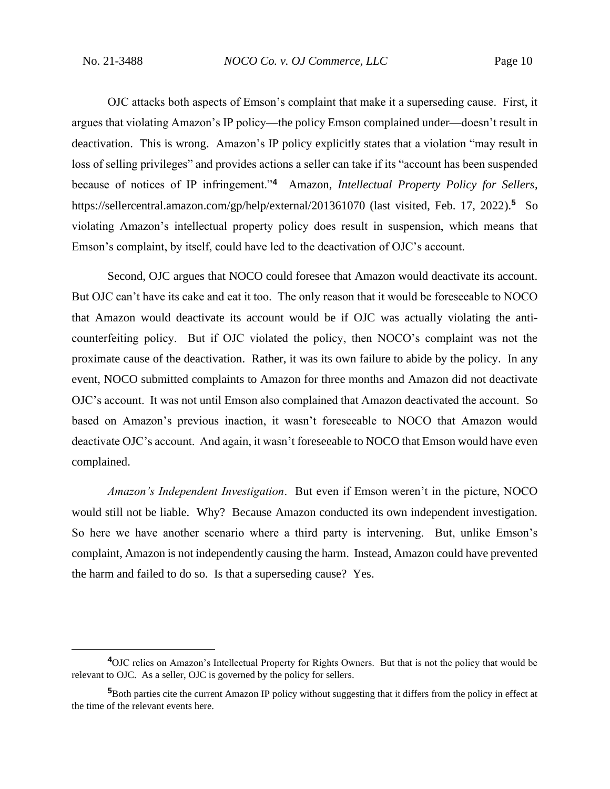OJC attacks both aspects of Emson's complaint that make it a superseding cause. First, it argues that violating Amazon's IP policy—the policy Emson complained under—doesn't result in deactivation. This is wrong. Amazon's IP policy explicitly states that a violation "may result in loss of selling privileges" and provides actions a seller can take if its "account has been suspended because of notices of IP infringement."**<sup>4</sup>** Amazon, *Intellectual Property Policy for Sellers*, https://sellercentral.amazon.com/gp/help/external/201361070 (last visited, Feb. 17, 2022).**<sup>5</sup>** So violating Amazon's intellectual property policy does result in suspension, which means that Emson's complaint, by itself, could have led to the deactivation of OJC's account.

Second, OJC argues that NOCO could foresee that Amazon would deactivate its account. But OJC can't have its cake and eat it too. The only reason that it would be foreseeable to NOCO that Amazon would deactivate its account would be if OJC was actually violating the anticounterfeiting policy. But if OJC violated the policy, then NOCO's complaint was not the proximate cause of the deactivation. Rather, it was its own failure to abide by the policy. In any event, NOCO submitted complaints to Amazon for three months and Amazon did not deactivate OJC's account. It was not until Emson also complained that Amazon deactivated the account. So based on Amazon's previous inaction, it wasn't foreseeable to NOCO that Amazon would deactivate OJC's account. And again, it wasn't foreseeable to NOCO that Emson would have even complained.

*Amazon's Independent Investigation*. But even if Emson weren't in the picture, NOCO would still not be liable. Why? Because Amazon conducted its own independent investigation. So here we have another scenario where a third party is intervening. But, unlike Emson's complaint, Amazon is not independently causing the harm. Instead, Amazon could have prevented the harm and failed to do so. Is that a superseding cause? Yes.

**<sup>4</sup>**OJC relies on Amazon's Intellectual Property for Rights Owners. But that is not the policy that would be relevant to OJC. As a seller, OJC is governed by the policy for sellers.

**<sup>5</sup>**Both parties cite the current Amazon IP policy without suggesting that it differs from the policy in effect at the time of the relevant events here.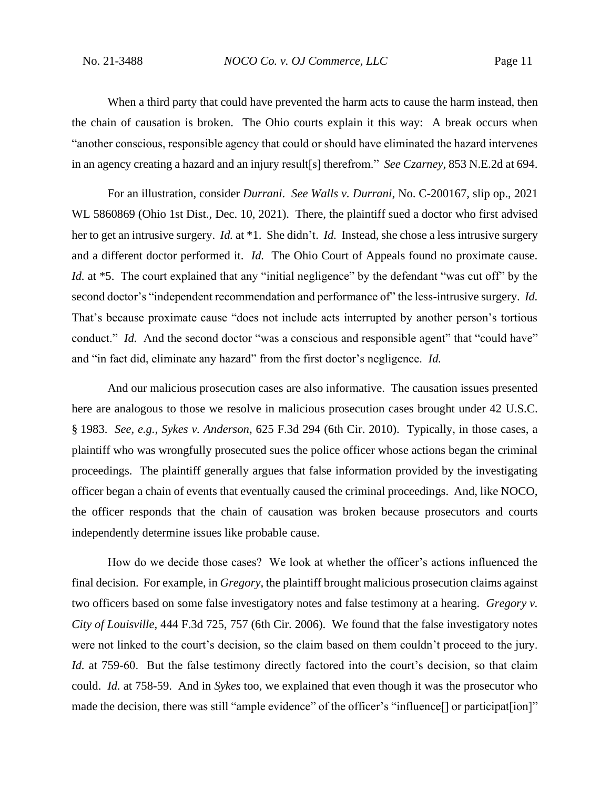When a third party that could have prevented the harm acts to cause the harm instead, then the chain of causation is broken. The Ohio courts explain it this way: A break occurs when "another conscious, responsible agency that could or should have eliminated the hazard intervenes in an agency creating a hazard and an injury result[s] therefrom." *See Czarney*, 853 N.E.2d at 694.

For an illustration, consider *Durrani*. *See Walls v. Durrani*, No. C-200167, slip op., 2021 WL 5860869 (Ohio 1st Dist., Dec. 10, 2021). There, the plaintiff sued a doctor who first advised her to get an intrusive surgery. *Id.* at \*1. She didn't. *Id.* Instead, she chose a less intrusive surgery and a different doctor performed it. *Id.* The Ohio Court of Appeals found no proximate cause. *Id.* at \*5. The court explained that any "initial negligence" by the defendant "was cut off" by the second doctor's "independent recommendation and performance of" the less-intrusive surgery. *Id.* That's because proximate cause "does not include acts interrupted by another person's tortious conduct." *Id.* And the second doctor "was a conscious and responsible agent" that "could have" and "in fact did, eliminate any hazard" from the first doctor's negligence. *Id.*

And our malicious prosecution cases are also informative. The causation issues presented here are analogous to those we resolve in malicious prosecution cases brought under 42 U.S.C. § 1983. *See, e.g.*, *Sykes v. Anderson*, 625 F.3d 294 (6th Cir. 2010). Typically, in those cases, a plaintiff who was wrongfully prosecuted sues the police officer whose actions began the criminal proceedings. The plaintiff generally argues that false information provided by the investigating officer began a chain of events that eventually caused the criminal proceedings. And, like NOCO, the officer responds that the chain of causation was broken because prosecutors and courts independently determine issues like probable cause.

How do we decide those cases? We look at whether the officer's actions influenced the final decision. For example, in *Gregory*, the plaintiff brought malicious prosecution claims against two officers based on some false investigatory notes and false testimony at a hearing. *Gregory v. City of Louisville*, 444 F.3d 725, 757 (6th Cir. 2006). We found that the false investigatory notes were not linked to the court's decision, so the claim based on them couldn't proceed to the jury. *Id.* at 759-60. But the false testimony directly factored into the court's decision, so that claim could. *Id.* at 758-59. And in *Sykes* too, we explained that even though it was the prosecutor who made the decision, there was still "ample evidence" of the officer's "influence[] or participat[ion]"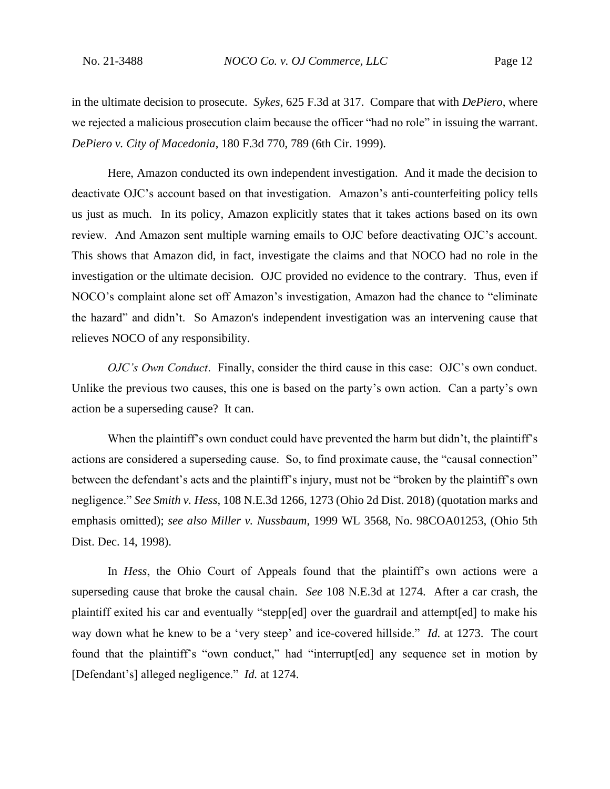in the ultimate decision to prosecute. *Sykes*, 625 F.3d at 317. Compare that with *DePiero*, where we rejected a malicious prosecution claim because the officer "had no role" in issuing the warrant. *DePiero v. City of Macedonia*, 180 F.3d 770, 789 (6th Cir. 1999).

Here, Amazon conducted its own independent investigation. And it made the decision to deactivate OJC's account based on that investigation. Amazon's anti-counterfeiting policy tells us just as much. In its policy, Amazon explicitly states that it takes actions based on its own review. And Amazon sent multiple warning emails to OJC before deactivating OJC's account. This shows that Amazon did, in fact, investigate the claims and that NOCO had no role in the investigation or the ultimate decision. OJC provided no evidence to the contrary. Thus, even if NOCO's complaint alone set off Amazon's investigation, Amazon had the chance to "eliminate the hazard" and didn't. So Amazon's independent investigation was an intervening cause that relieves NOCO of any responsibility.

*OJC's Own Conduct*. Finally, consider the third cause in this case: OJC's own conduct. Unlike the previous two causes, this one is based on the party's own action. Can a party's own action be a superseding cause? It can.

When the plaintiff's own conduct could have prevented the harm but didn't, the plaintiff's actions are considered a superseding cause. So, to find proximate cause, the "causal connection" between the defendant's acts and the plaintiff's injury, must not be "broken by the plaintiff's own negligence." *See Smith v. Hess*, 108 N.E.3d 1266, 1273 (Ohio 2d Dist. 2018) (quotation marks and emphasis omitted); *see also Miller v. Nussbaum*, 1999 WL 3568, No. 98COA01253, (Ohio 5th Dist. Dec. 14, 1998).

In *Hess*, the Ohio Court of Appeals found that the plaintiff's own actions were a superseding cause that broke the causal chain. *See* 108 N.E.3d at 1274. After a car crash, the plaintiff exited his car and eventually "stepp[ed] over the guardrail and attempt[ed] to make his way down what he knew to be a 'very steep' and ice-covered hillside." *Id.* at 1273. The court found that the plaintiff's "own conduct," had "interrupt[ed] any sequence set in motion by [Defendant's] alleged negligence." *Id.* at 1274.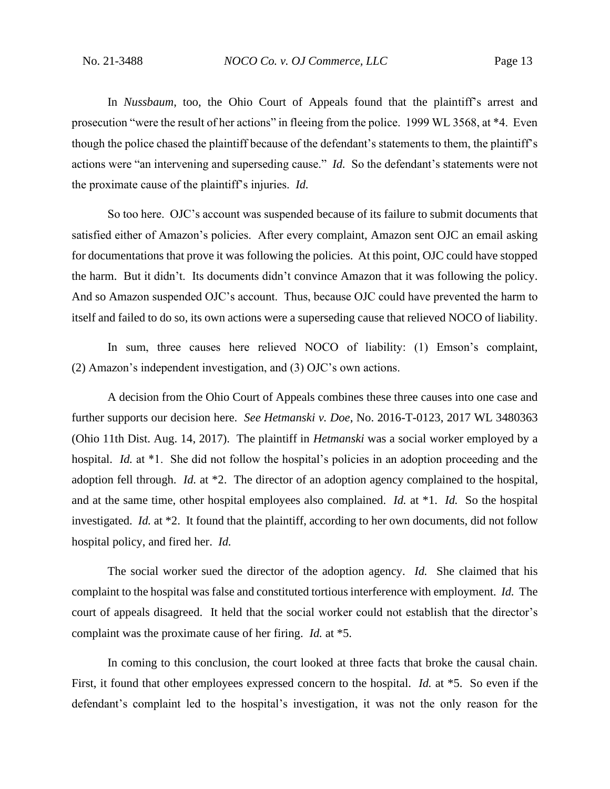In *Nussbaum*, too, the Ohio Court of Appeals found that the plaintiff's arrest and prosecution "were the result of her actions" in fleeing from the police. 1999 WL 3568, at \*4. Even though the police chased the plaintiff because of the defendant's statements to them, the plaintiff's actions were "an intervening and superseding cause." *Id.* So the defendant's statements were not the proximate cause of the plaintiff's injuries. *Id.*

So too here. OJC's account was suspended because of its failure to submit documents that satisfied either of Amazon's policies. After every complaint, Amazon sent OJC an email asking for documentations that prove it was following the policies. At this point, OJC could have stopped the harm. But it didn't. Its documents didn't convince Amazon that it was following the policy. And so Amazon suspended OJC's account. Thus, because OJC could have prevented the harm to itself and failed to do so, its own actions were a superseding cause that relieved NOCO of liability.

In sum, three causes here relieved NOCO of liability: (1) Emson's complaint, (2) Amazon's independent investigation, and (3) OJC's own actions.

A decision from the Ohio Court of Appeals combines these three causes into one case and further supports our decision here. *See Hetmanski v. Doe*, No. 2016-T-0123, 2017 WL 3480363 (Ohio 11th Dist. Aug. 14, 2017). The plaintiff in *Hetmanski* was a social worker employed by a hospital. *Id.* at \*1. She did not follow the hospital's policies in an adoption proceeding and the adoption fell through. *Id.* at \*2. The director of an adoption agency complained to the hospital, and at the same time, other hospital employees also complained. *Id.* at \*1. *Id.* So the hospital investigated. *Id.* at \*2. It found that the plaintiff, according to her own documents, did not follow hospital policy, and fired her. *Id.*

The social worker sued the director of the adoption agency. *Id.* She claimed that his complaint to the hospital was false and constituted tortious interference with employment. *Id.* The court of appeals disagreed. It held that the social worker could not establish that the director's complaint was the proximate cause of her firing. *Id.* at \*5.

In coming to this conclusion, the court looked at three facts that broke the causal chain. First, it found that other employees expressed concern to the hospital. *Id.* at \*5. So even if the defendant's complaint led to the hospital's investigation, it was not the only reason for the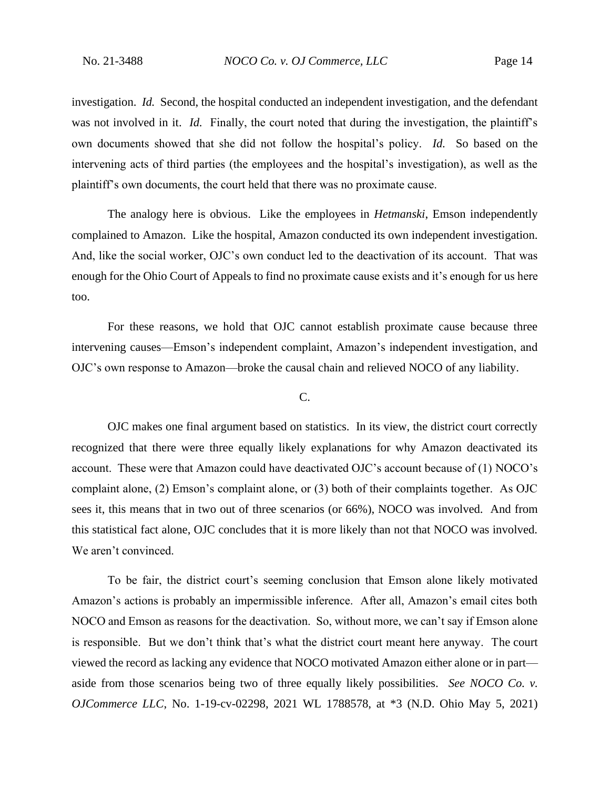investigation. *Id.* Second, the hospital conducted an independent investigation, and the defendant was not involved in it. *Id.* Finally, the court noted that during the investigation, the plaintiff's own documents showed that she did not follow the hospital's policy. *Id.* So based on the intervening acts of third parties (the employees and the hospital's investigation), as well as the plaintiff's own documents, the court held that there was no proximate cause.

The analogy here is obvious. Like the employees in *Hetmanski*, Emson independently complained to Amazon. Like the hospital, Amazon conducted its own independent investigation. And, like the social worker, OJC's own conduct led to the deactivation of its account. That was enough for the Ohio Court of Appeals to find no proximate cause exists and it's enough for us here too.

For these reasons, we hold that OJC cannot establish proximate cause because three intervening causes—Emson's independent complaint, Amazon's independent investigation, and OJC's own response to Amazon—broke the causal chain and relieved NOCO of any liability.

C.

OJC makes one final argument based on statistics. In its view, the district court correctly recognized that there were three equally likely explanations for why Amazon deactivated its account. These were that Amazon could have deactivated OJC's account because of (1) NOCO's complaint alone, (2) Emson's complaint alone, or (3) both of their complaints together. As OJC sees it, this means that in two out of three scenarios (or 66%), NOCO was involved. And from this statistical fact alone, OJC concludes that it is more likely than not that NOCO was involved. We aren't convinced.

To be fair, the district court's seeming conclusion that Emson alone likely motivated Amazon's actions is probably an impermissible inference. After all, Amazon's email cites both NOCO and Emson as reasons for the deactivation. So, without more, we can't say if Emson alone is responsible. But we don't think that's what the district court meant here anyway. The court viewed the record as lacking any evidence that NOCO motivated Amazon either alone or in part aside from those scenarios being two of three equally likely possibilities. *See NOCO Co. v. OJCommerce LLC*, No. 1-19-cv-02298, 2021 WL 1788578, at \*3 (N.D. Ohio May 5, 2021)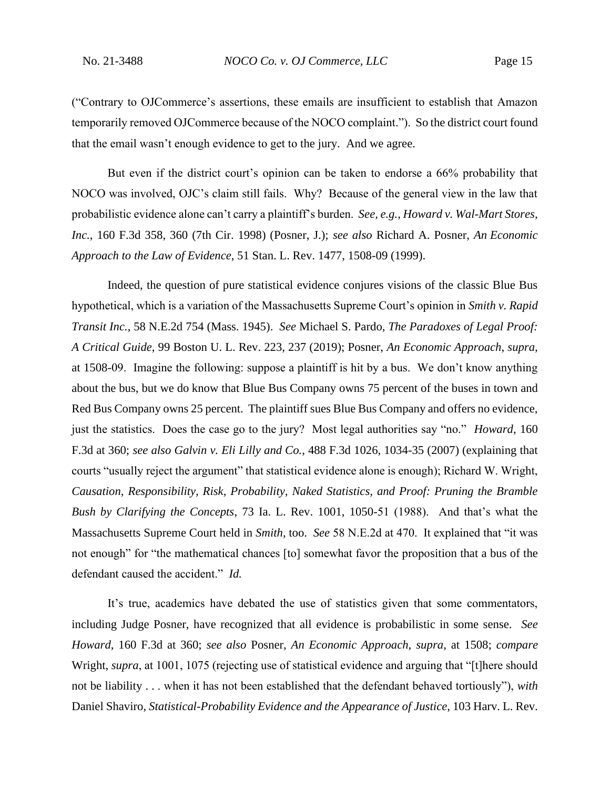("Contrary to OJCommerce's assertions, these emails are insufficient to establish that Amazon temporarily removed OJCommerce because of the NOCO complaint.").So the district court found that the email wasn't enough evidence to get to the jury. And we agree.

But even if the district court's opinion can be taken to endorse a 66% probability that NOCO was involved, OJC's claim still fails. Why? Because of the general view in the law that probabilistic evidence alone can't carry a plaintiff's burden. *See, e.g.*, *Howard v. Wal-Mart Stores, Inc.*, 160 F.3d 358, 360 (7th Cir. 1998) (Posner, J.); *see also* Richard A. Posner, *An Economic Approach to the Law of Evidence*, 51 Stan. L. Rev. 1477, 1508-09 (1999).

Indeed, the question of pure statistical evidence conjures visions of the classic Blue Bus hypothetical, which is a variation of the Massachusetts Supreme Court's opinion in *Smith v. Rapid Transit Inc.*, 58 N.E.2d 754 (Mass. 1945). *See* Michael S. Pardo, *The Paradoxes of Legal Proof: A Critical Guide*, 99 Boston U. L. Rev. 223, 237 (2019); Posner, *An Economic Approach*, *supra*, at 1508-09. Imagine the following: suppose a plaintiff is hit by a bus. We don't know anything about the bus, but we do know that Blue Bus Company owns 75 percent of the buses in town and Red Bus Company owns 25 percent. The plaintiff sues Blue Bus Company and offers no evidence, just the statistics. Does the case go to the jury? Most legal authorities say "no." *Howard*, 160 F.3d at 360; *see also Galvin v. Eli Lilly and Co.*, 488 F.3d 1026, 1034-35 (2007) (explaining that courts "usually reject the argument" that statistical evidence alone is enough); Richard W. Wright, *Causation, Responsibility, Risk, Probability, Naked Statistics, and Proof: Pruning the Bramble Bush by Clarifying the Concepts*, 73 Ia. L. Rev. 1001, 1050-51 (1988). And that's what the Massachusetts Supreme Court held in *Smith*, too. *See* 58 N.E.2d at 470. It explained that "it was not enough" for "the mathematical chances [to] somewhat favor the proposition that a bus of the defendant caused the accident." *Id.*

It's true, academics have debated the use of statistics given that some commentators, including Judge Posner, have recognized that all evidence is probabilistic in some sense. *See Howard*, 160 F.3d at 360; *see also* Posner, *An Economic Approach*, *supra*, at 1508; *compare* Wright, *supra*, at 1001, 1075 (rejecting use of statistical evidence and arguing that "[t]here should not be liability . . . when it has not been established that the defendant behaved tortiously"), *with* Daniel Shaviro, *Statistical-Probability Evidence and the Appearance of Justice*, 103 Harv. L. Rev.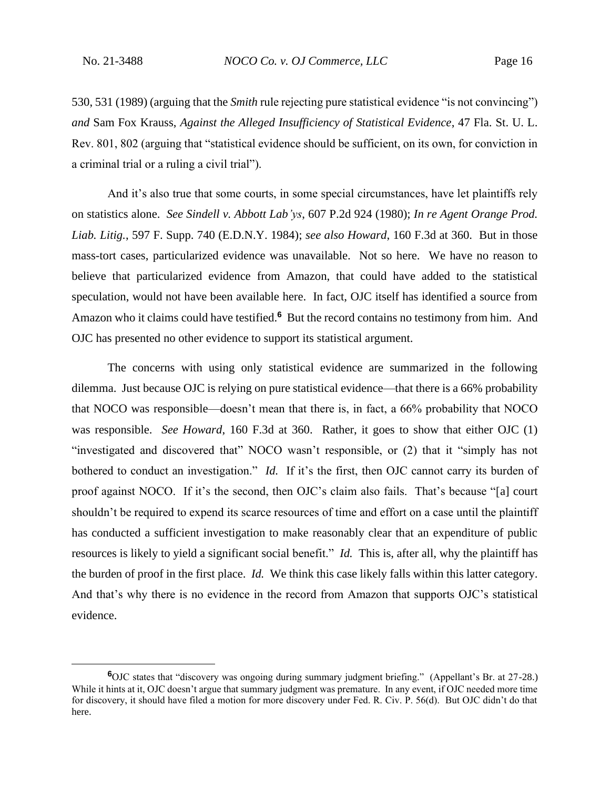530, 531 (1989) (arguing that the *Smith* rule rejecting pure statistical evidence "is not convincing") *and* Sam Fox Krauss, *Against the Alleged Insufficiency of Statistical Evidence*, 47 Fla. St. U. L. Rev. 801, 802 (arguing that "statistical evidence should be sufficient, on its own, for conviction in a criminal trial or a ruling a civil trial").

And it's also true that some courts, in some special circumstances, have let plaintiffs rely on statistics alone. *See Sindell v. Abbott Lab'ys*, 607 P.2d 924 (1980); *In re Agent Orange Prod. Liab. Litig.*, 597 F. Supp. 740 (E.D.N.Y. 1984); *see also Howard*, 160 F.3d at 360. But in those mass-tort cases, particularized evidence was unavailable. Not so here. We have no reason to believe that particularized evidence from Amazon, that could have added to the statistical speculation, would not have been available here. In fact, OJC itself has identified a source from Amazon who it claims could have testified.<sup>6</sup> But the record contains no testimony from him. And OJC has presented no other evidence to support its statistical argument.

The concerns with using only statistical evidence are summarized in the following dilemma. Just because OJC is relying on pure statistical evidence—that there is a 66% probability that NOCO was responsible—doesn't mean that there is, in fact, a 66% probability that NOCO was responsible. *See Howard*, 160 F.3d at 360. Rather, it goes to show that either OJC (1) "investigated and discovered that" NOCO wasn't responsible, or (2) that it "simply has not bothered to conduct an investigation." *Id.* If it's the first, then OJC cannot carry its burden of proof against NOCO. If it's the second, then OJC's claim also fails. That's because "[a] court shouldn't be required to expend its scarce resources of time and effort on a case until the plaintiff has conducted a sufficient investigation to make reasonably clear that an expenditure of public resources is likely to yield a significant social benefit." *Id.* This is, after all, why the plaintiff has the burden of proof in the first place. *Id.* We think this case likely falls within this latter category. And that's why there is no evidence in the record from Amazon that supports OJC's statistical evidence.

**<sup>6</sup>**OJC states that "discovery was ongoing during summary judgment briefing." (Appellant's Br. at 27-28.) While it hints at it, OJC doesn't argue that summary judgment was premature. In any event, if OJC needed more time for discovery, it should have filed a motion for more discovery under Fed. R. Civ. P. 56(d). But OJC didn't do that here.